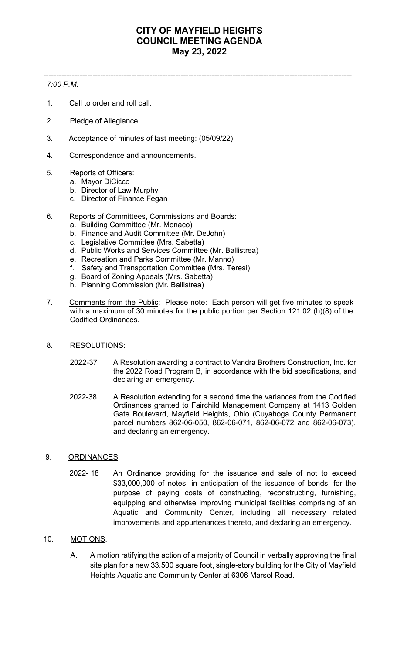# **CITY OF MAYFIELD HEIGHTS COUNCIL MEETING AGENDA May 23, 2022**

-----------------------------------------------------------------------------------------------------------------------

## *7:00 P.M.*

- 1. Call to order and roll call.
- 2. Pledge of Allegiance.
- 3. Acceptance of minutes of last meeting: (05/09/22)
- 4. Correspondence and announcements.
- 5. Reports of Officers:
	- a. Mayor DiCicco
	- b. Director of Law Murphy
	- c. Director of Finance Fegan
- 6. Reports of Committees, Commissions and Boards:
	- a. Building Committee (Mr. Monaco)
	- b. Finance and Audit Committee (Mr. DeJohn)
	- c. Legislative Committee (Mrs. Sabetta)
	- d. Public Works and Services Committee (Mr. Ballistrea)
	- e. Recreation and Parks Committee (Mr. Manno)
	- f. Safety and Transportation Committee (Mrs. Teresi)
	- g. Board of Zoning Appeals (Mrs. Sabetta)
	- h. Planning Commission (Mr. Ballistrea)
- 7. Comments from the Public: Please note: Each person will get five minutes to speak with a maximum of 30 minutes for the public portion per Section 121.02 (h)(8) of the Codified Ordinances.
- 8. RESOLUTIONS:
	- 2022-37 A Resolution awarding a contract to Vandra Brothers Construction, Inc. for the 2022 Road Program B, in accordance with the bid specifications, and declaring an emergency.
	- 2022-38 A Resolution extending for a second time the variances from the Codified Ordinances granted to Fairchild Management Company at 1413 Golden Gate Boulevard, Mayfield Heights, Ohio (Cuyahoga County Permanent parcel numbers 862-06-050, 862-06-071, 862-06-072 and 862-06-073), and declaring an emergency.

#### 9. ORDINANCES:

 2022- 18 An Ordinance providing for the issuance and sale of not to exceed \$33,000,000 of notes, in anticipation of the issuance of bonds, for the purpose of paying costs of constructing, reconstructing, furnishing, equipping and otherwise improving municipal facilities comprising of an Aquatic and Community Center, including all necessary related improvements and appurtenances thereto, and declaring an emergency.

### 10. MOTIONS:

 A. A motion ratifying the action of a majority of Council in verbally approving the final site plan for a new 33.500 square foot, single-story building for the City of Mayfield Heights Aquatic and Community Center at 6306 Marsol Road.